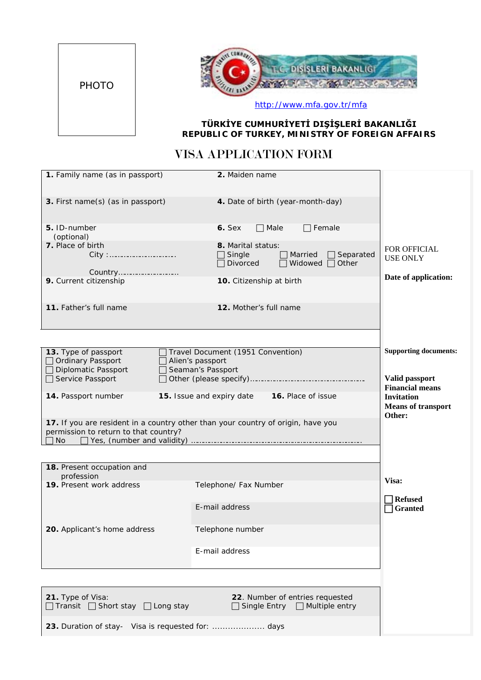



<http://www.mfa.gov.tr/mfa>

## **TÜRKİYE CUMHURİYETİ DIŞİŞLERİ BAKANLIĞI REPUBLIC OF TURKEY, MINISTRY OF FOREIGN AFFAIRS**

## VISA APPLICATION FORM

| 1. Family name (as in passport)                                                                                                                    | 2. Maiden name                                                                                         |                                          |
|----------------------------------------------------------------------------------------------------------------------------------------------------|--------------------------------------------------------------------------------------------------------|------------------------------------------|
| 3. First name(s) (as in passport)                                                                                                                  | 4. Date of birth (year-month-day)                                                                      |                                          |
| 5. ID-number<br>(optional)                                                                                                                         | $\Box$ Male<br>$\Box$ Female<br>$6.$ Sex                                                               |                                          |
| 7. Place of birth                                                                                                                                  | 8. Marital status:<br>Separated<br>$\Box$ Single<br>Married<br>$\Box$ Divorced<br>Widowed $\Box$ Other | FOR OFFICIAL<br><b>USE ONLY</b>          |
| Country<br>9. Current citizenship                                                                                                                  | 10. Citizenship at birth                                                                               | Date of application:                     |
| 11. Father's full name                                                                                                                             | 12. Mother's full name                                                                                 |                                          |
|                                                                                                                                                    |                                                                                                        |                                          |
| Travel Document (1951 Convention)<br>13. Type of passport<br>□ Ordinary Passport<br>Alien's passport<br>□ Diplomatic Passport<br>Seaman's Passport | <b>Supporting documents:</b>                                                                           |                                          |
| Service Passport                                                                                                                                   |                                                                                                        | Valid passport<br><b>Financial means</b> |
| 14. Passport number<br>15. Issue and expiry date 16. Place of issue                                                                                | <b>Invitation</b><br><b>Means of transport</b><br>Other:                                               |                                          |
| 17. If you are resident in a country other than your country of origin, have you<br>permission to return to that country?<br>No.                   |                                                                                                        |                                          |
|                                                                                                                                                    |                                                                                                        |                                          |
| 18. Present occupation and                                                                                                                         |                                                                                                        |                                          |
| profession<br>19. Present work address                                                                                                             | Telephone/ Fax Number                                                                                  | Visa:                                    |
|                                                                                                                                                    | E-mail address                                                                                         | <b>Refused</b><br><b>Granted</b>         |
|                                                                                                                                                    |                                                                                                        |                                          |
| 20. Applicant's home address                                                                                                                       | Telephone number                                                                                       |                                          |
|                                                                                                                                                    | E-mail address                                                                                         |                                          |
|                                                                                                                                                    |                                                                                                        |                                          |
| 21. Type of Visa:<br>$\Box$ Transit $\Box$ Short stay $\Box$ Long stay                                                                             | 22. Number of entries requested<br>Single Entry □ Multiple entry                                       |                                          |
| 23. Duration of stay- Visa is requested for:  days                                                                                                 |                                                                                                        |                                          |